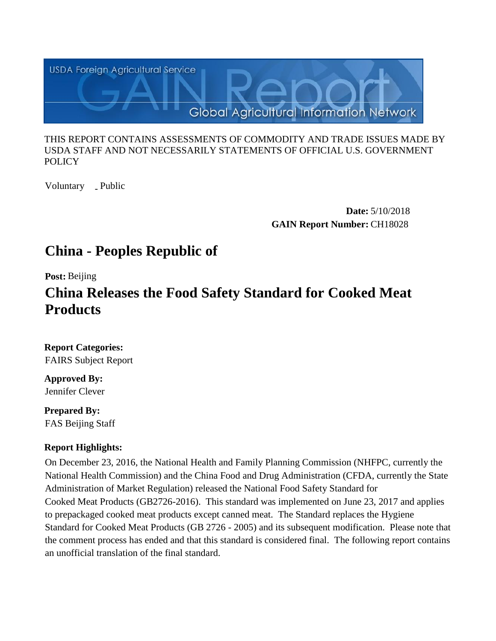

#### THIS REPORT CONTAINS ASSESSMENTS OF COMMODITY AND TRADE ISSUES MADE BY USDA STAFF AND NOT NECESSARILY STATEMENTS OF OFFICIAL U.S. GOVERNMENT **POLICY**

Voluntary \_ Public

**Date:** 5/10/2018 **GAIN Report Number:** CH18028

# **China - Peoples Republic of**

**Post:** Beijing

# **China Releases the Food Safety Standard for Cooked Meat Products**

**Report Categories:** FAIRS Subject Report

**Approved By:**  Jennifer Clever

**Prepared By:**  FAS Beijing Staff

# **Report Highlights:**

On December 23, 2016, the National Health and Family Planning Commission (NHFPC, currently the National Health Commission) and the China Food and Drug Administration (CFDA, currently the State Administration of Market Regulation) released the National Food Safety Standard for Cooked Meat Products (GB2726-2016). This standard was implemented on June 23, 2017 and applies to prepackaged cooked meat products except canned meat. The Standard replaces the Hygiene Standard for Cooked Meat Products (GB 2726 - 2005) and its subsequent modification. Please note that the comment process has ended and that this standard is considered final. The following report contains an unofficial translation of the final standard.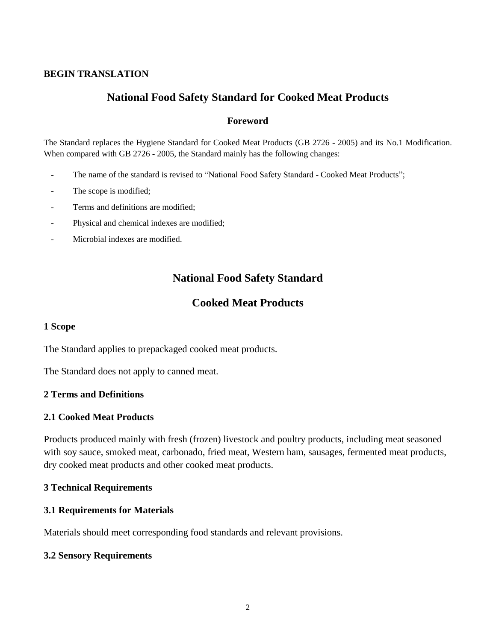#### **BEGIN TRANSLATION**

# **National Food Safety Standard for Cooked Meat Products**

#### **Foreword**

The Standard replaces the Hygiene Standard for Cooked Meat Products (GB 2726 - 2005) and its No.1 Modification. When compared with GB 2726 - 2005, the Standard mainly has the following changes:

- The name of the standard is revised to "National Food Safety Standard Cooked Meat Products";
- The scope is modified;
- Terms and definitions are modified:
- Physical and chemical indexes are modified;
- Microbial indexes are modified.

# **National Food Safety Standard**

## **Cooked Meat Products**

#### **1 Scope**

The Standard applies to prepackaged cooked meat products.

The Standard does not apply to canned meat.

#### **2 Terms and Definitions**

#### **2.1 Cooked Meat Products**

Products produced mainly with fresh (frozen) livestock and poultry products, including meat seasoned with soy sauce, smoked meat, carbonado, fried meat, Western ham, sausages, fermented meat products, dry cooked meat products and other cooked meat products.

#### **3 Technical Requirements**

#### **3.1 Requirements for Materials**

Materials should meet corresponding food standards and relevant provisions.

#### **3.2 Sensory Requirements**